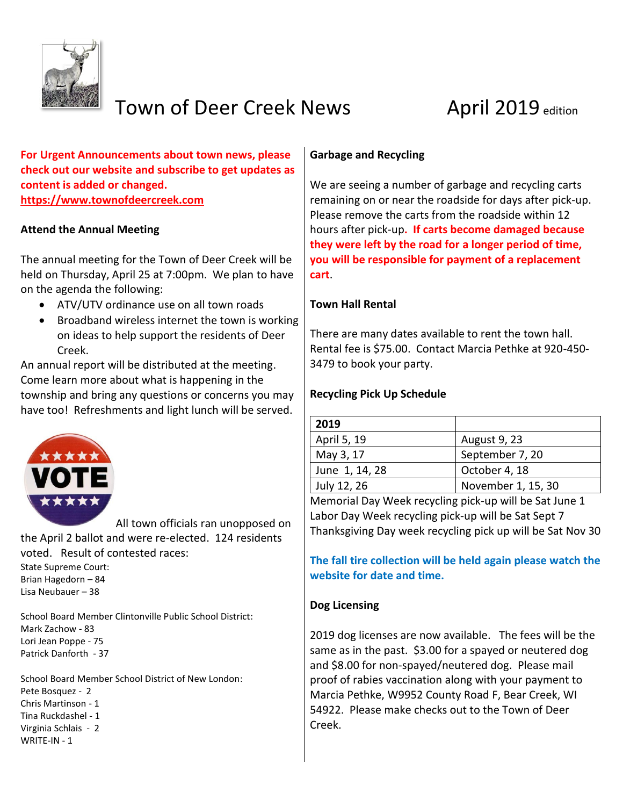

# Town of Deer Creek News **April 2019** edition



**For Urgent Announcements about town news, please check out our website and subscribe to get updates as content is added or changed. https://www.townofdeercreek.com**

## **Attend the Annual Meeting**

The annual meeting for the Town of Deer Creek will be held on Thursday, April 25 at 7:00pm. We plan to have on the agenda the following:

- ATV/UTV ordinance use on all town roads
- Broadband wireless internet the town is working on ideas to help support the residents of Deer Creek.

An annual report will be distributed at the meeting. Come learn more about what is happening in the township and bring any questions or concerns you may have too! Refreshments and light lunch will be served.



All town officials ran unopposed on the April 2 ballot and were re-elected. 124 residents voted. Result of contested races: State Supreme Court: Brian Hagedorn – 84 Lisa Neubauer – 38

School Board Member Clintonville Public School District: Mark Zachow - 83 Lori Jean Poppe - 75 Patrick Danforth - 37

School Board Member School District of New London: Pete Bosquez - 2 Chris Martinson - 1 Tina Ruckdashel - 1 Virginia Schlais - 2 WRITE-IN - 1

#### **Garbage and Recycling**

We are seeing a number of garbage and recycling carts remaining on or near the roadside for days after pick-up. Please remove the carts from the roadside within 12 hours after pick-up**. If carts become damaged because they were left by the road for a longer period of time, you will be responsible for payment of a replacement cart**.

#### **Town Hall Rental**

There are many dates available to rent the town hall. Rental fee is \$75.00. Contact Marcia Pethke at 920-450- 3479 to book your party.

#### **Recycling Pick Up Schedule**

| 2019           |                     |
|----------------|---------------------|
| April 5, 19    | <b>August 9, 23</b> |
| May 3, 17      | September 7, 20     |
| June 1, 14, 28 | October 4, 18       |
| July 12, 26    | November 1, 15, 30  |

Memorial Day Week recycling pick-up will be Sat June 1 Labor Day Week recycling pick-up will be Sat Sept 7 Thanksgiving Day week recycling pick up will be Sat Nov 30

### **The fall tire collection will be held again please watch the website for date and time.**

#### **Dog Licensing**

2019 dog licenses are now available. The fees will be the same as in the past. \$3.00 for a spayed or neutered dog and \$8.00 for non-spayed/neutered dog. Please mail proof of rabies vaccination along with your payment to Marcia Pethke, W9952 County Road F, Bear Creek, WI 54922. Please make checks out to the Town of Deer Creek.